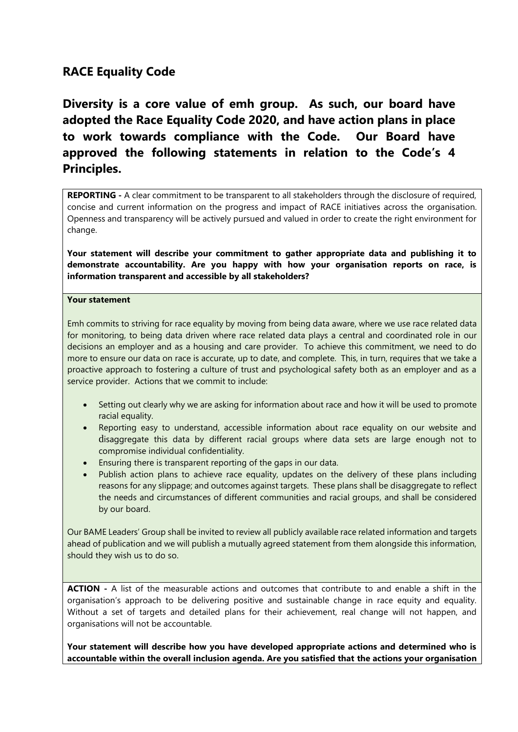# **RACE Equality Code**

**Diversity is a core value of emh group. As such, our board have adopted the Race Equality Code 2020, and have action plans in place to work towards compliance with the Code. Our Board have approved the following statements in relation to the Code's 4 Principles.**

**REPORTING -** A clear commitment to be transparent to all stakeholders through the disclosure of required, concise and current information on the progress and impact of RACE initiatives across the organisation. Openness and transparency will be actively pursued and valued in order to create the right environment for change.

**Your statement will describe your commitment to gather appropriate data and publishing it to demonstrate accountability. Are you happy with how your organisation reports on race, is information transparent and accessible by all stakeholders?**

## **Your statement**

Emh commits to striving for race equality by moving from being data aware, where we use race related data for monitoring, to being data driven where race related data plays a central and coordinated role in our decisions an employer and as a housing and care provider. To achieve this commitment, we need to do more to ensure our data on race is accurate, up to date, and complete. This, in turn, requires that we take a proactive approach to fostering a culture of trust and psychological safety both as an employer and as a service provider. Actions that we commit to include:

- Setting out clearly why we are asking for information about race and how it will be used to promote racial equality.
- Reporting easy to understand, accessible information about race equality on our website and disaggregate this data by different racial groups where data sets are large enough not to compromise individual confidentiality.
- Ensuring there is transparent reporting of the gaps in our data.
- Publish action plans to achieve race equality, updates on the delivery of these plans including reasons for any slippage; and outcomes against targets. These plans shall be disaggregate to reflect the needs and circumstances of different communities and racial groups, and shall be considered by our board.

Our BAME Leaders' Group shall be invited to review all publicly available race related information and targets ahead of publication and we will publish a mutually agreed statement from them alongside this information, should they wish us to do so.

**ACTION -** A list of the measurable actions and outcomes that contribute to and enable a shift in the organisation's approach to be delivering positive and sustainable change in race equity and equality. Without a set of targets and detailed plans for their achievement, real change will not happen, and organisations will not be accountable.

**Your statement will describe how you have developed appropriate actions and determined who is accountable within the overall inclusion agenda. Are you satisfied that the actions your organisation**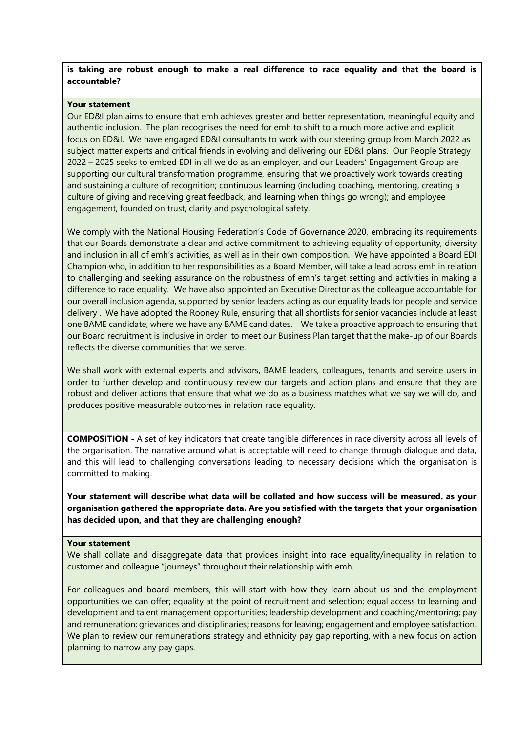### **is taking are robust enough to make a real difference to race equality and that the board is accountable?**

#### **Your statement**

Our ED&I plan aims to ensure that emh achieves greater and better representation, meaningful equity and authentic inclusion. The plan recognises the need for emh to shift to a much more active and explicit focus on ED&I. We have engaged ED&I consultants to work with our steering group from March 2022 as subject matter experts and critical friends in evolving and delivering our ED&I plans. Our People Strategy 2022 – 2025 seeks to embed EDI in all we do as an employer, and our Leaders' Engagement Group are supporting our cultural transformation programme, ensuring that we proactively work towards creating and sustaining a culture of recognition; continuous learning (including coaching, mentoring, creating a culture of giving and receiving great feedback, and learning when things go wrong); and employee engagement, founded on trust, clarity and psychological safety.

We comply with the National Housing Federation's Code of Governance 2020, embracing its requirements that our Boards demonstrate a clear and active commitment to achieving equality of opportunity, diversity and inclusion in all of emh's activities, as well as in their own composition. We have appointed a Board EDI Champion who, in addition to her responsibilities as a Board Member, will take a lead across emh in relation to challenging and seeking assurance on the robustness of emh's target setting and activities in making a difference to race equality. We have also appointed an Executive Director as the colleague accountable for our overall inclusion agenda, supported by senior leaders acting as our equality leads for people and service delivery . We have adopted the Rooney Rule, ensuring that all shortlists for senior vacancies include at least one BAME candidate, where we have any BAME candidates. We take a proactive approach to ensuring that our Board recruitment is inclusive in order to meet our Business Plan target that the make-up of our Boards reflects the diverse communities that we serve.

We shall work with external experts and advisors, BAME leaders, colleagues, tenants and service users in order to further develop and continuously review our targets and action plans and ensure that they are robust and deliver actions that ensure that what we do as a business matches what we say we will do, and produces positive measurable outcomes in relation race equality.

**COMPOSITION -** A set of key indicators that create tangible differences in race diversity across all levels of the organisation. The narrative around what is acceptable will need to change through dialogue and data, and this will lead to challenging conversations leading to necessary decisions which the organisation is committed to making.

**Your statement will describe what data will be collated and how success will be measured. as your organisation gathered the appropriate data. Are you satisfied with the targets that your organisation has decided upon, and that they are challenging enough?**

#### **Your statement**

We shall collate and disaggregate data that provides insight into race equality/inequality in relation to customer and colleague "journeys" throughout their relationship with emh.

For colleagues and board members, this will start with how they learn about us and the employment opportunities we can offer; equality at the point of recruitment and selection; equal access to learning and development and talent management opportunities; leadership development and coaching/mentoring; pay and remuneration; grievances and disciplinaries; reasons for leaving; engagement and employee satisfaction. We plan to review our remunerations strategy and ethnicity pay gap reporting, with a new focus on action planning to narrow any pay gaps.